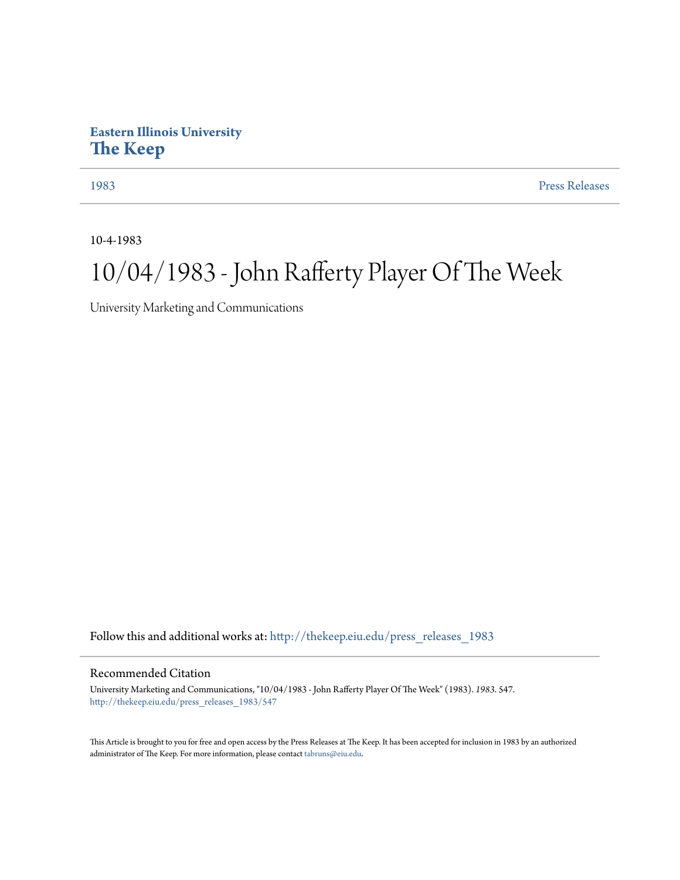## **Eastern Illinois University [The Keep](http://thekeep.eiu.edu?utm_source=thekeep.eiu.edu%2Fpress_releases_1983%2F547&utm_medium=PDF&utm_campaign=PDFCoverPages)**

[1983](http://thekeep.eiu.edu/press_releases_1983?utm_source=thekeep.eiu.edu%2Fpress_releases_1983%2F547&utm_medium=PDF&utm_campaign=PDFCoverPages) [Press Releases](http://thekeep.eiu.edu/press_releases_collection?utm_source=thekeep.eiu.edu%2Fpress_releases_1983%2F547&utm_medium=PDF&utm_campaign=PDFCoverPages)

10-4-1983

## 10/04/1983 - John Rafferty Player Of The Week

University Marketing and Communications

Follow this and additional works at: [http://thekeep.eiu.edu/press\\_releases\\_1983](http://thekeep.eiu.edu/press_releases_1983?utm_source=thekeep.eiu.edu%2Fpress_releases_1983%2F547&utm_medium=PDF&utm_campaign=PDFCoverPages)

## Recommended Citation

University Marketing and Communications, "10/04/1983 - John Rafferty Player Of The Week" (1983). *1983*. 547. [http://thekeep.eiu.edu/press\\_releases\\_1983/547](http://thekeep.eiu.edu/press_releases_1983/547?utm_source=thekeep.eiu.edu%2Fpress_releases_1983%2F547&utm_medium=PDF&utm_campaign=PDFCoverPages)

This Article is brought to you for free and open access by the Press Releases at The Keep. It has been accepted for inclusion in 1983 by an authorized administrator of The Keep. For more information, please contact [tabruns@eiu.edu.](mailto:tabruns@eiu.edu)